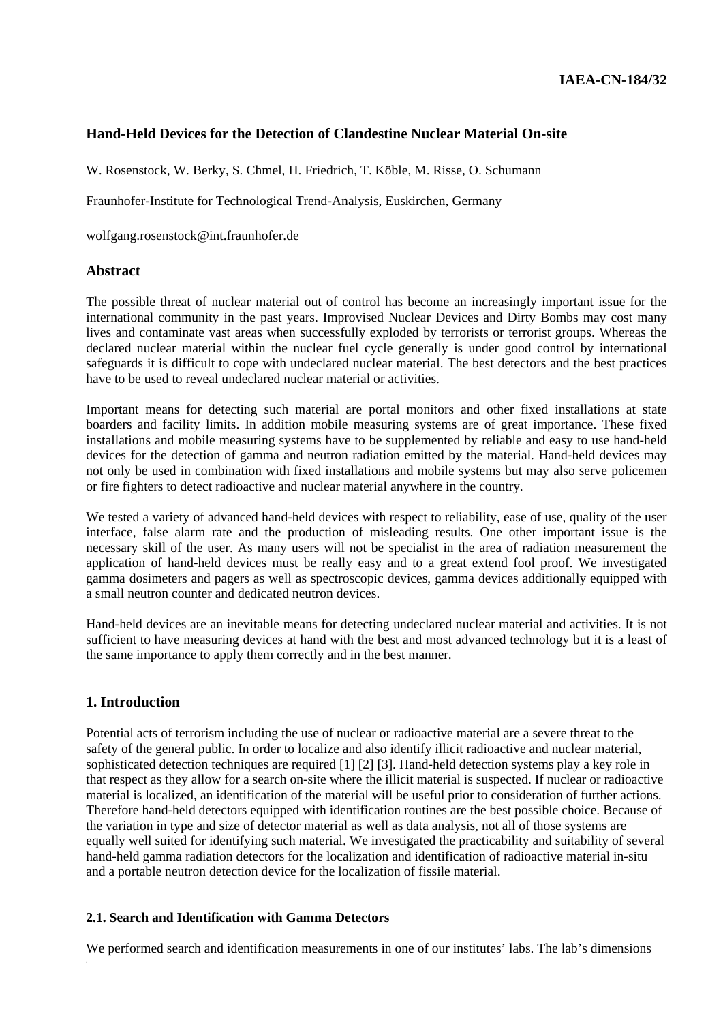# **Hand-Held Devices for the Detection of Clandestine Nuclear Material On-site**

W. Rosenstock, W. Berky, S. Chmel, H. Friedrich, T. Köble, M. Risse, O. Schumann

Fraunhofer-Institute for Technological Trend-Analysis, Euskirchen, Germany

wolfgang.rosenstock@int.fraunhofer.de

#### **Abstract**

The possible threat of nuclear material out of control has become an increasingly important issue for the international community in the past years. Improvised Nuclear Devices and Dirty Bombs may cost many lives and contaminate vast areas when successfully exploded by terrorists or terrorist groups. Whereas the declared nuclear material within the nuclear fuel cycle generally is under good control by international safeguards it is difficult to cope with undeclared nuclear material. The best detectors and the best practices have to be used to reveal undeclared nuclear material or activities.

Important means for detecting such material are portal monitors and other fixed installations at state boarders and facility limits. In addition mobile measuring systems are of great importance. These fixed installations and mobile measuring systems have to be supplemented by reliable and easy to use hand-held devices for the detection of gamma and neutron radiation emitted by the material. Hand-held devices may not only be used in combination with fixed installations and mobile systems but may also serve policemen or fire fighters to detect radioactive and nuclear material anywhere in the country.

We tested a variety of advanced hand-held devices with respect to reliability, ease of use, quality of the user interface, false alarm rate and the production of misleading results. One other important issue is the necessary skill of the user. As many users will not be specialist in the area of radiation measurement the application of hand-held devices must be really easy and to a great extend fool proof. We investigated gamma dosimeters and pagers as well as spectroscopic devices, gamma devices additionally equipped with a small neutron counter and dedicated neutron devices.

Hand-held devices are an inevitable means for detecting undeclared nuclear material and activities. It is not sufficient to have measuring devices at hand with the best and most advanced technology but it is a least of the same importance to apply them correctly and in the best manner.

#### **1. Introduction**

Potential acts of terrorism including the use of nuclear or radioactive material are a severe threat to the safety of the general public. In order to localize and also identify illicit radioactive and nuclear material, sophisticated detection techniques are required [1] [2] [3]. Hand-held detection systems play a key role in that respect as they allow for a search on-site where the illicit material is suspected. If nuclear or radioactive material is localized, an identification of the material will be useful prior to consideration of further actions. Therefore hand-held detectors equipped with identification routines are the best possible choice. Because of the variation in type and size of detector material as well as data analysis, not all of those systems are equally well suited for identifying such material. We investigated the practicability and suitability of several hand-held gamma radiation detectors for the localization and identification of radioactive material in-situ and a portable neutron detection device for the localization of fissile material.

#### **2.1. Search and Identification with Gamma Detectors**

We performed search and identification measurements in one of our institutes' labs. The lab's dimensions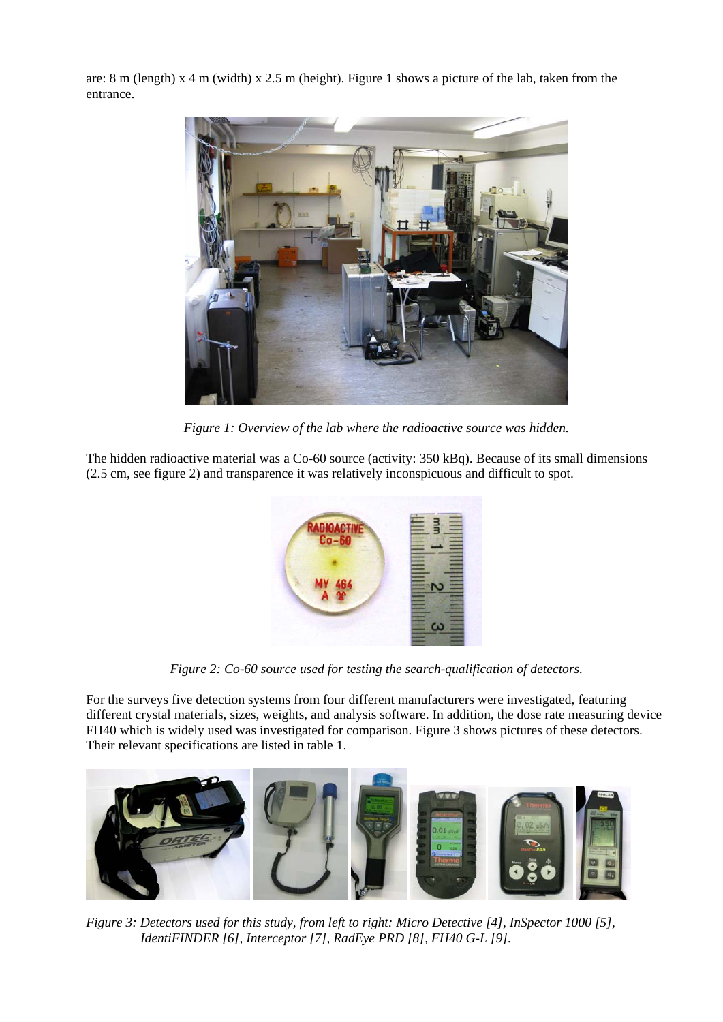are: 8 m (length) x 4 m (width) x 2.5 m (height). Figure 1 shows a picture of the lab, taken from the entrance.



*Figure 1: Overview of the lab where the radioactive source was hidden.* 

The hidden radioactive material was a Co-60 source (activity: 350 kBq). Because of its small dimensions (2.5 cm, see figure 2) and transparence it was relatively inconspicuous and difficult to spot.



*Figure 2: Co-60 source used for testing the search-qualification of detectors.* 

For the surveys five detection systems from four different manufacturers were investigated, featuring different crystal materials, sizes, weights, and analysis software. In addition, the dose rate measuring device FH40 which is widely used was investigated for comparison. Figure 3 shows pictures of these detectors. Their relevant specifications are listed in table 1.



*Figure 3: Detectors used for this study, from left to right: Micro Detective [4], InSpector 1000 [5], IdentiFINDER [6], Interceptor [7], RadEye PRD [8], FH40 G-L [9].*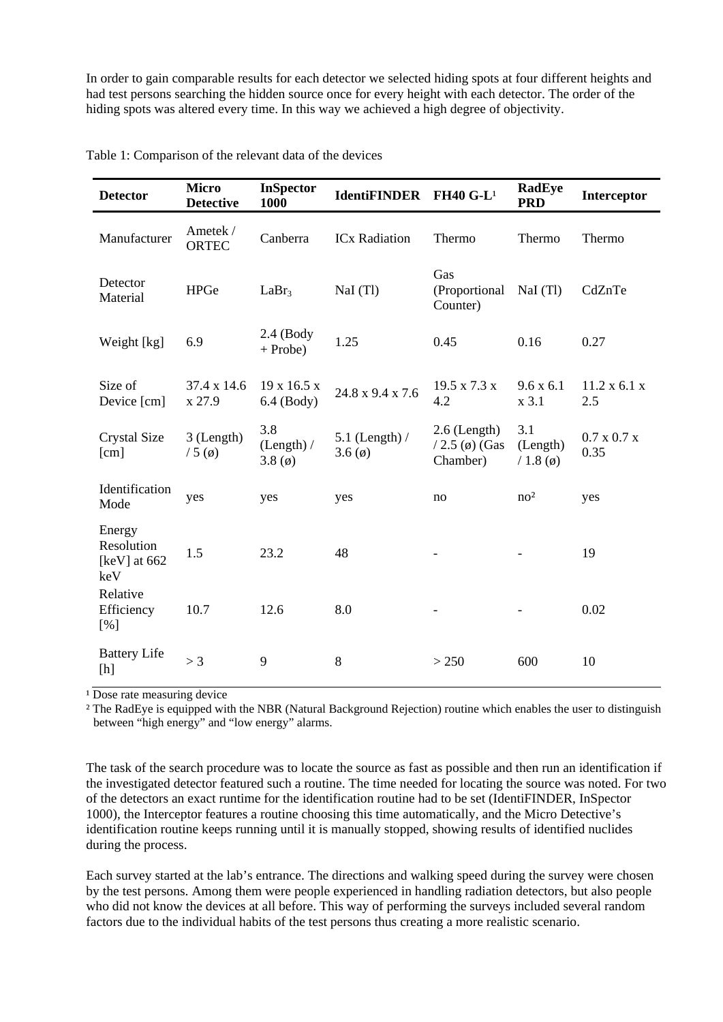In order to gain comparable results for each detector we selected hiding spots at four different heights and had test persons searching the hidden source once for every height with each detector. The order of the hiding spots was altered every time. In this way we achieved a high degree of objectivity.

| <b>Detector</b>                                 | <b>Micro</b><br><b>Detective</b> | <b>InSpector</b><br>1000                | <b>IdentiFINDER</b>           | <b>FH40 G-L<sup>1</sup></b>                    | <b>RadEye</b><br><b>PRD</b>       | Interceptor                     |
|-------------------------------------------------|----------------------------------|-----------------------------------------|-------------------------------|------------------------------------------------|-----------------------------------|---------------------------------|
| Manufacturer                                    | Ametek /<br><b>ORTEC</b>         | Canberra                                | <b>ICx Radiation</b>          | Thermo                                         | Thermo                            | Thermo                          |
| Detector<br>Material                            | <b>HPGe</b>                      | LaBr <sub>3</sub>                       | NaI (Tl)                      | Gas<br>(Proportional<br>Counter)               | NaI(Tl)                           | CdZnTe                          |
| Weight [kg]                                     | 6.9                              | $2.4$ (Body<br>$+$ Probe)               | 1.25                          | 0.45                                           | 0.16                              | 0.27                            |
| Size of<br>Device [cm]                          | 37.4 x 14.6<br>x 27.9            | $19 \times 16.5 \times$<br>$6.4$ (Body) | 24.8 x 9.4 x 7.6              | 19.5 x 7.3 x<br>4.2                            | 9.6 x 6.1<br>x 3.1                | 11.2 x 6.1 x<br>2.5             |
| Crystal Size<br>[cm]                            | 3 (Length)<br>$/5$ (ø)           | 3.8<br>(Length) /<br>3.8 <sub>(0)</sub> | 5.1 (Length) $/$<br>3.6 $(0)$ | $2.6$ (Length)<br>$/ 2.5$ (ø) (Gas<br>Chamber) | 3.1<br>(Length)<br>$/ 1.8 (\phi)$ | $0.7 \times 0.7 \times$<br>0.35 |
| Identification<br>Mode                          | yes                              | yes                                     | yes                           | no                                             | no <sup>2</sup>                   | yes                             |
| Energy<br>Resolution<br>[ $keV$ ] at 662<br>keV | 1.5                              | 23.2                                    | 48                            |                                                |                                   | 19                              |
| Relative<br>Efficiency<br>[%]                   | 10.7                             | 12.6                                    | 8.0                           |                                                |                                   | 0.02                            |
| <b>Battery Life</b><br>[h]                      | > 3                              | 9                                       | 8                             | > 250                                          | 600                               | 10                              |

Table 1: Comparison of the relevant data of the devices

 $\frac{1}{2}$  Dose rate measuring device

² The RadEye is equipped with the NBR (Natural Background Rejection) routine which enables the user to distinguish between "high energy" and "low energy" alarms.

The task of the search procedure was to locate the source as fast as possible and then run an identification if the investigated detector featured such a routine. The time needed for locating the source was noted. For two of the detectors an exact runtime for the identification routine had to be set (IdentiFINDER, InSpector 1000), the Interceptor features a routine choosing this time automatically, and the Micro Detective's identification routine keeps running until it is manually stopped, showing results of identified nuclides during the process.

Each survey started at the lab's entrance. The directions and walking speed during the survey were chosen by the test persons. Among them were people experienced in handling radiation detectors, but also people who did not know the devices at all before. This way of performing the surveys included several random factors due to the individual habits of the test persons thus creating a more realistic scenario.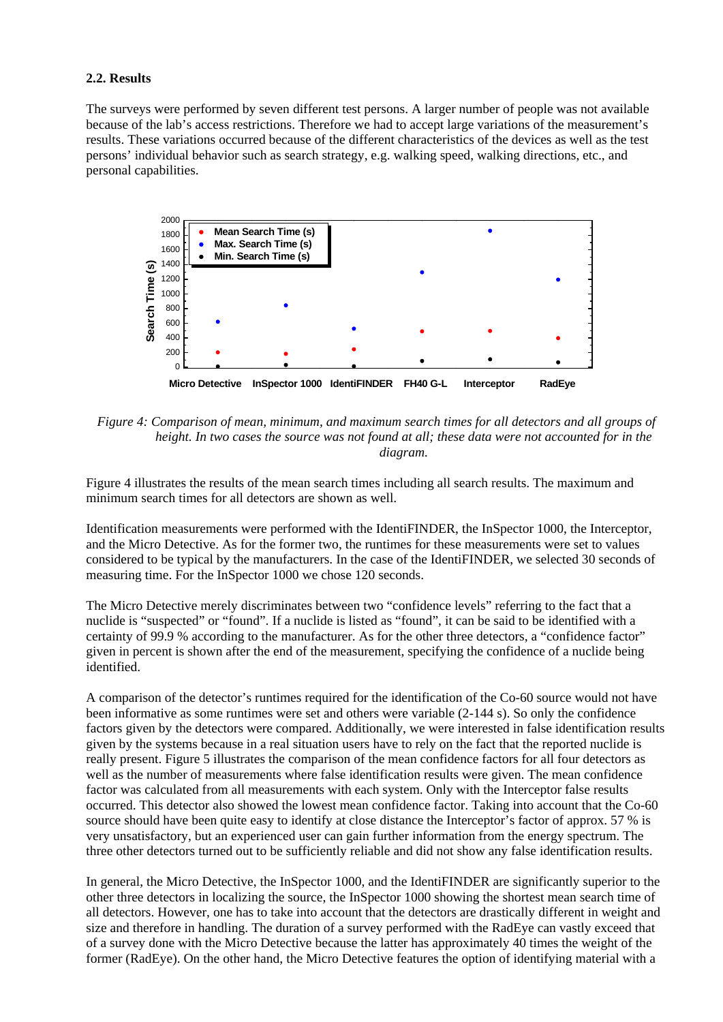#### **2.2. Results**

The surveys were performed by seven different test persons. A larger number of people was not available because of the lab's access restrictions. Therefore we had to accept large variations of the measurement's results. These variations occurred because of the different characteristics of the devices as well as the test persons' individual behavior such as search strategy, e.g. walking speed, walking directions, etc., and personal capabilities.



*Figure 4: Comparison of mean, minimum, and maximum search times for all detectors and all groups of height. In two cases the source was not found at all; these data were not accounted for in the diagram.* 

Figure 4 illustrates the results of the mean search times including all search results. The maximum and minimum search times for all detectors are shown as well.

Identification measurements were performed with the IdentiFINDER, the InSpector 1000, the Interceptor, and the Micro Detective. As for the former two, the runtimes for these measurements were set to values considered to be typical by the manufacturers. In the case of the IdentiFINDER, we selected 30 seconds of measuring time. For the InSpector 1000 we chose 120 seconds.

The Micro Detective merely discriminates between two "confidence levels" referring to the fact that a nuclide is "suspected" or "found". If a nuclide is listed as "found", it can be said to be identified with a certainty of 99.9 % according to the manufacturer. As for the other three detectors, a "confidence factor" given in percent is shown after the end of the measurement, specifying the confidence of a nuclide being identified.

A comparison of the detector's runtimes required for the identification of the Co-60 source would not have been informative as some runtimes were set and others were variable (2-144 s). So only the confidence factors given by the detectors were compared. Additionally, we were interested in false identification results given by the systems because in a real situation users have to rely on the fact that the reported nuclide is really present. Figure 5 illustrates the comparison of the mean confidence factors for all four detectors as well as the number of measurements where false identification results were given. The mean confidence factor was calculated from all measurements with each system. Only with the Interceptor false results occurred. This detector also showed the lowest mean confidence factor. Taking into account that the Co-60 source should have been quite easy to identify at close distance the Interceptor's factor of approx. 57 % is very unsatisfactory, but an experienced user can gain further information from the energy spectrum. The three other detectors turned out to be sufficiently reliable and did not show any false identification results.

In general, the Micro Detective, the InSpector 1000, and the IdentiFINDER are significantly superior to the other three detectors in localizing the source, the InSpector 1000 showing the shortest mean search time of all detectors. However, one has to take into account that the detectors are drastically different in weight and size and therefore in handling. The duration of a survey performed with the RadEye can vastly exceed that of a survey done with the Micro Detective because the latter has approximately 40 times the weight of the former (RadEye). On the other hand, the Micro Detective features the option of identifying material with a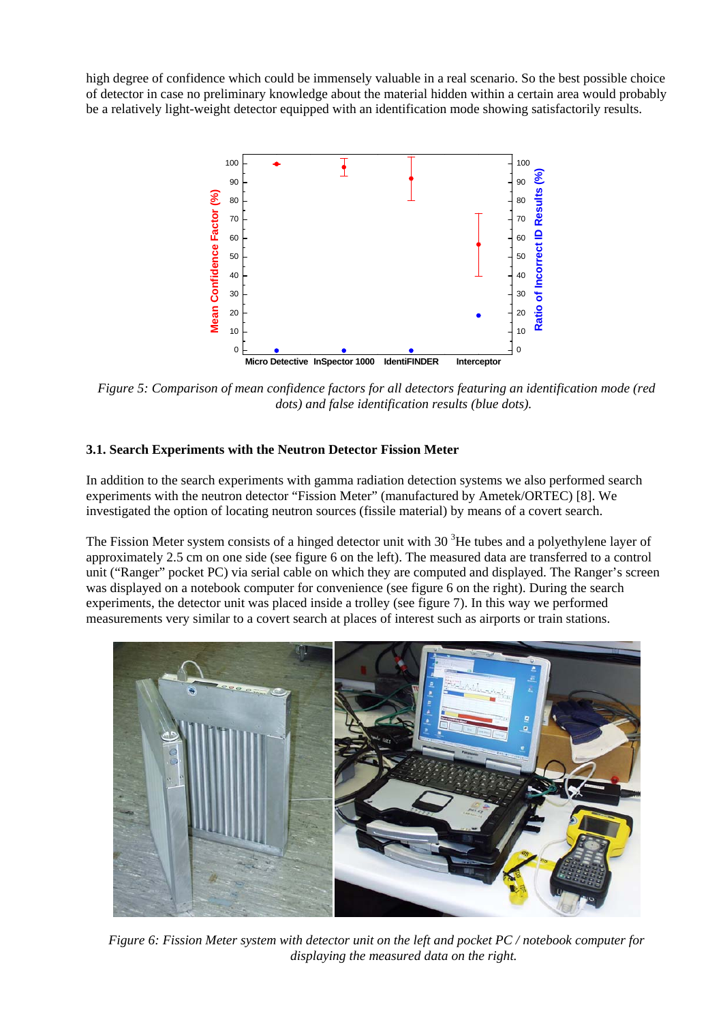high degree of confidence which could be immensely valuable in a real scenario. So the best possible choice of detector in case no preliminary knowledge about the material hidden within a certain area would probably be a relatively light-weight detector equipped with an identification mode showing satisfactorily results.



*Figure 5: Comparison of mean confidence factors for all detectors featuring an identification mode (red dots) and false identification results (blue dots).* 

## **3.1. Search Experiments with the Neutron Detector Fission Meter**

In addition to the search experiments with gamma radiation detection systems we also performed search experiments with the neutron detector "Fission Meter" (manufactured by Ametek/ORTEC) [8]. We investigated the option of locating neutron sources (fissile material) by means of a covert search.

The Fission Meter system consists of a hinged detector unit with 30  $3$ He tubes and a polyethylene layer of approximately 2.5 cm on one side (see figure 6 on the left). The measured data are transferred to a control unit ("Ranger" pocket PC) via serial cable on which they are computed and displayed. The Ranger's screen was displayed on a notebook computer for convenience (see figure 6 on the right). During the search experiments, the detector unit was placed inside a trolley (see figure 7). In this way we performed measurements very similar to a covert search at places of interest such as airports or train stations.



*Figure 6: Fission Meter system with detector unit on the left and pocket PC / notebook computer for displaying the measured data on the right.*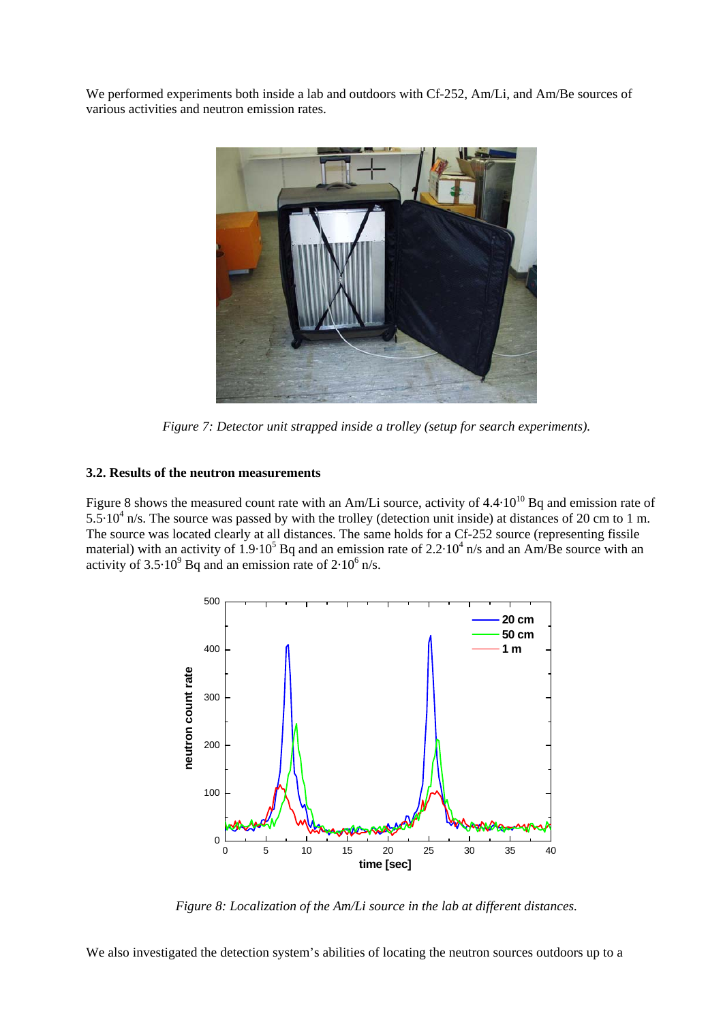We performed experiments both inside a lab and outdoors with Cf-252, Am/Li, and Am/Be sources of various activities and neutron emission rates.



*Figure 7: Detector unit strapped inside a trolley (setup for search experiments).* 

## **3.2. Results of the neutron measurements**

Figure 8 shows the measured count rate with an Am/Li source, activity of 4.4·10<sup>10</sup> Bq and emission rate of  $5.5 \cdot 10^4$  n/s. The source was passed by with the trolley (detection unit inside) at distances of 20 cm to 1 m. The source was located clearly at all distances. The same holds for a Cf-252 source (representing fissile material) with an activity of  $1.9 \cdot 10^5$  Bq and an emission rate of  $2.2 \cdot 10^4$  n/s and an Am/Be source with an activity of  $3.5 \cdot 10^9$  Bq and an emission rate of  $2 \cdot 10^6$  n/s.



*Figure 8: Localization of the Am/Li source in the lab at different distances.* 

We also investigated the detection system's abilities of locating the neutron sources outdoors up to a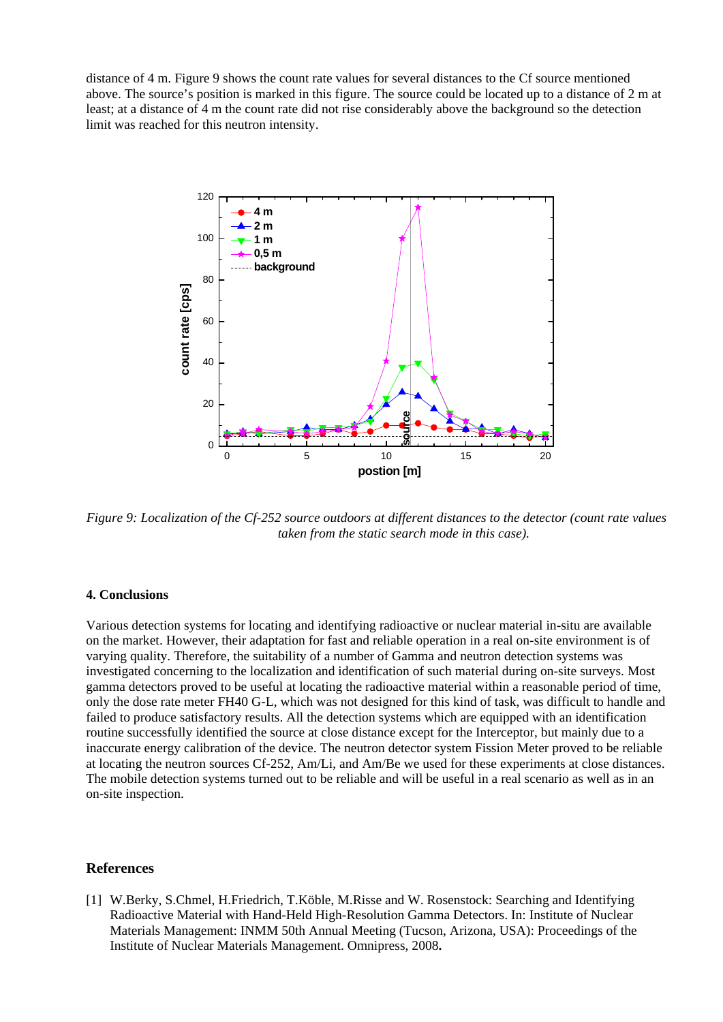distance of 4 m. Figure 9 shows the count rate values for several distances to the Cf source mentioned above. The source's position is marked in this figure. The source could be located up to a distance of 2 m at least; at a distance of 4 m the count rate did not rise considerably above the background so the detection limit was reached for this neutron intensity.



*Figure 9: Localization of the Cf-252 source outdoors at different distances to the detector (count rate values taken from the static search mode in this case).* 

#### **4. Conclusions**

Various detection systems for locating and identifying radioactive or nuclear material in-situ are available on the market. However, their adaptation for fast and reliable operation in a real on-site environment is of varying quality. Therefore, the suitability of a number of Gamma and neutron detection systems was investigated concerning to the localization and identification of such material during on-site surveys. Most gamma detectors proved to be useful at locating the radioactive material within a reasonable period of time, only the dose rate meter FH40 G-L, which was not designed for this kind of task, was difficult to handle and failed to produce satisfactory results. All the detection systems which are equipped with an identification routine successfully identified the source at close distance except for the Interceptor, but mainly due to a inaccurate energy calibration of the device. The neutron detector system Fission Meter proved to be reliable at locating the neutron sources Cf-252, Am/Li, and Am/Be we used for these experiments at close distances. The mobile detection systems turned out to be reliable and will be useful in a real scenario as well as in an on-site inspection.

#### **References**

[1] W.Berky, S.Chmel, H.Friedrich, T.Köble, M.Risse and W. Rosenstock: Searching and Identifying Radioactive Material with Hand-Held High-Resolution Gamma Detectors. In: Institute of Nuclear Materials Management: INMM 50th Annual Meeting (Tucson, Arizona, USA): Proceedings of the Institute of Nuclear Materials Management. Omnipress, 2008**.**